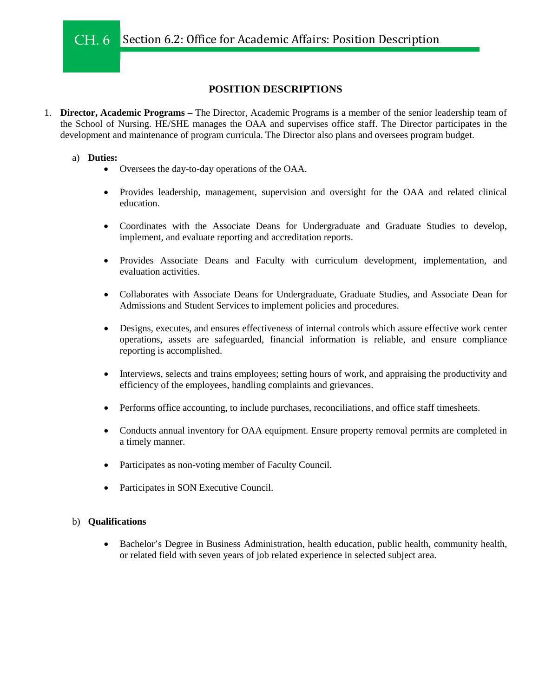# **POSITION DESCRIPTIONS**

1. **Director, Academic Programs –** The Director, Academic Programs is a member of the senior leadership team of the School of Nursing. HE/SHE manages the OAA and supervises office staff. The Director participates in the development and maintenance of program curricula. The Director also plans and oversees program budget.

## a) **Duties:**

- Oversees the day-to-day operations of the OAA.
- Provides leadership, management, supervision and oversight for the OAA and related clinical education.
- Coordinates with the Associate Deans for Undergraduate and Graduate Studies to develop, implement, and evaluate reporting and accreditation reports.
- Provides Associate Deans and Faculty with curriculum development, implementation, and evaluation activities.
- Collaborates with Associate Deans for Undergraduate, Graduate Studies, and Associate Dean for Admissions and Student Services to implement policies and procedures.
- Designs, executes, and ensures effectiveness of internal controls which assure effective work center operations, assets are safeguarded, financial information is reliable, and ensure compliance reporting is accomplished.
- Interviews, selects and trains employees; setting hours of work, and appraising the productivity and efficiency of the employees, handling complaints and grievances.
- Performs office accounting, to include purchases, reconciliations, and office staff timesheets.
- Conducts annual inventory for OAA equipment. Ensure property removal permits are completed in a timely manner.
- Participates as non-voting member of Faculty Council.
- Participates in SON Executive Council.

# b) **Qualifications**

• Bachelor's Degree in Business Administration, health education, public health, community health, or related field with seven years of job related experience in selected subject area.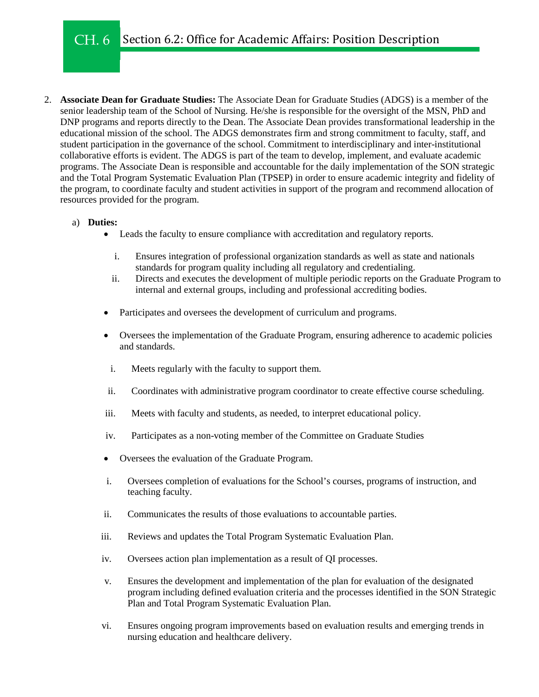#### Section 6.2: Office for Academic Affairs: Position Description CH. 6

2. **Associate Dean for Graduate Studies:** The Associate Dean for Graduate Studies (ADGS) is a member of the senior leadership team of the School of Nursing. He/she is responsible for the oversight of the MSN, PhD and DNP programs and reports directly to the Dean. The Associate Dean provides transformational leadership in the educational mission of the school. The ADGS demonstrates firm and strong commitment to faculty, staff, and student participation in the governance of the school. Commitment to interdisciplinary and inter-institutional collaborative efforts is evident. The ADGS is part of the team to develop, implement, and evaluate academic programs. The Associate Dean is responsible and accountable for the daily implementation of the SON strategic and the Total Program Systematic Evaluation Plan (TPSEP) in order to ensure academic integrity and fidelity of the program, to coordinate faculty and student activities in support of the program and recommend allocation of resources provided for the program.

# a) **Duties:**

- Leads the faculty to ensure compliance with accreditation and regulatory reports.
	- i. Ensures integration of professional organization standards as well as state and nationals standards for program quality including all regulatory and credentialing.
	- ii. Directs and executes the development of multiple periodic reports on the Graduate Program to internal and external groups, including and professional accrediting bodies.
- Participates and oversees the development of curriculum and programs.
- Oversees the implementation of the Graduate Program, ensuring adherence to academic policies and standards.
- i. Meets regularly with the faculty to support them.
- ii. Coordinates with administrative program coordinator to create effective course scheduling.
- iii. Meets with faculty and students, as needed, to interpret educational policy.
- iv. Participates as a non-voting member of the Committee on Graduate Studies
- Oversees the evaluation of the Graduate Program.
- i. Oversees completion of evaluations for the School's courses, programs of instruction, and teaching faculty.
- ii. Communicates the results of those evaluations to accountable parties.
- iii. Reviews and updates the Total Program Systematic Evaluation Plan.
- iv. Oversees action plan implementation as a result of QI processes.
- v. Ensures the development and implementation of the plan for evaluation of the designated program including defined evaluation criteria and the processes identified in the SON Strategic Plan and Total Program Systematic Evaluation Plan.
- vi. Ensures ongoing program improvements based on evaluation results and emerging trends in nursing education and healthcare delivery.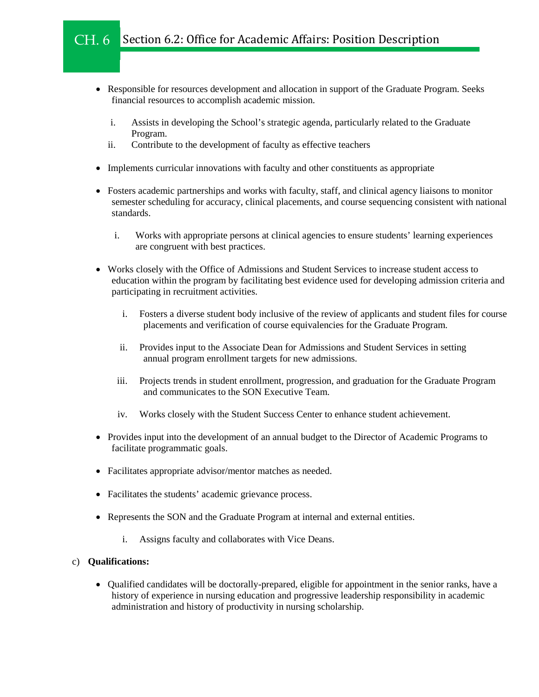#### Section 6.2: Office for Academic Affairs: Position Description CH. 6

- Responsible for resources development and allocation in support of the Graduate Program. Seeks financial resources to accomplish academic mission.
	- i. Assists in developing the School's strategic agenda, particularly related to the Graduate Program.
	- ii. Contribute to the development of faculty as effective teachers
- Implements curricular innovations with faculty and other constituents as appropriate
- Fosters academic partnerships and works with faculty, staff, and clinical agency liaisons to monitor semester scheduling for accuracy, clinical placements, and course sequencing consistent with national standards.
	- i. Works with appropriate persons at clinical agencies to ensure students' learning experiences are congruent with best practices.
- Works closely with the Office of Admissions and Student Services to increase student access to education within the program by facilitating best evidence used for developing admission criteria and participating in recruitment activities.
	- i. Fosters a diverse student body inclusive of the review of applicants and student files for course placements and verification of course equivalencies for the Graduate Program.
	- ii. Provides input to the Associate Dean for Admissions and Student Services in setting annual program enrollment targets for new admissions.
	- iii. Projects trends in student enrollment, progression, and graduation for the Graduate Program and communicates to the SON Executive Team.
	- iv. Works closely with the Student Success Center to enhance student achievement.
- Provides input into the development of an annual budget to the Director of Academic Programs to facilitate programmatic goals.
- Facilitates appropriate advisor/mentor matches as needed.
- Facilitates the students' academic grievance process.
- Represents the SON and the Graduate Program at internal and external entities.
	- i. Assigns faculty and collaborates with Vice Deans.

### c) **Qualifications:**

• Qualified candidates will be doctorally-prepared, eligible for appointment in the senior ranks, have a history of experience in nursing education and progressive leadership responsibility in academic administration and history of productivity in nursing scholarship.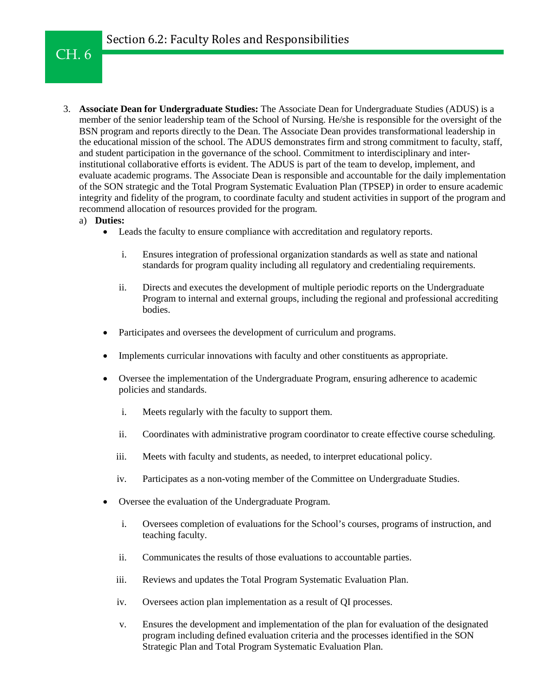# CH. 6

- 3. **Associate Dean for Undergraduate Studies:** The Associate Dean for Undergraduate Studies (ADUS) is a member of the senior leadership team of the School of Nursing. He/she is responsible for the oversight of the BSN program and reports directly to the Dean. The Associate Dean provides transformational leadership in the educational mission of the school. The ADUS demonstrates firm and strong commitment to faculty, staff, and student participation in the governance of the school. Commitment to interdisciplinary and interinstitutional collaborative efforts is evident. The ADUS is part of the team to develop, implement, and evaluate academic programs. The Associate Dean is responsible and accountable for the daily implementation of the SON strategic and the Total Program Systematic Evaluation Plan (TPSEP) in order to ensure academic integrity and fidelity of the program, to coordinate faculty and student activities in support of the program and recommend allocation of resources provided for the program.
	- a) **Duties:**
		- Leads the faculty to ensure compliance with accreditation and regulatory reports.
			- i. Ensures integration of professional organization standards as well as state and national standards for program quality including all regulatory and credentialing requirements.
			- ii. Directs and executes the development of multiple periodic reports on the Undergraduate Program to internal and external groups, including the regional and professional accrediting bodies.
		- Participates and oversees the development of curriculum and programs.
		- Implements curricular innovations with faculty and other constituents as appropriate.
		- Oversee the implementation of the Undergraduate Program, ensuring adherence to academic policies and standards.
			- i. Meets regularly with the faculty to support them.
			- ii. Coordinates with administrative program coordinator to create effective course scheduling.
			- iii. Meets with faculty and students, as needed, to interpret educational policy.
			- iv. Participates as a non-voting member of the Committee on Undergraduate Studies.
		- Oversee the evaluation of the Undergraduate Program.
			- i. Oversees completion of evaluations for the School's courses, programs of instruction, and teaching faculty.
			- ii. Communicates the results of those evaluations to accountable parties.
			- iii. Reviews and updates the Total Program Systematic Evaluation Plan.
			- iv. Oversees action plan implementation as a result of QI processes.
			- v. Ensures the development and implementation of the plan for evaluation of the designated program including defined evaluation criteria and the processes identified in the SON Strategic Plan and Total Program Systematic Evaluation Plan.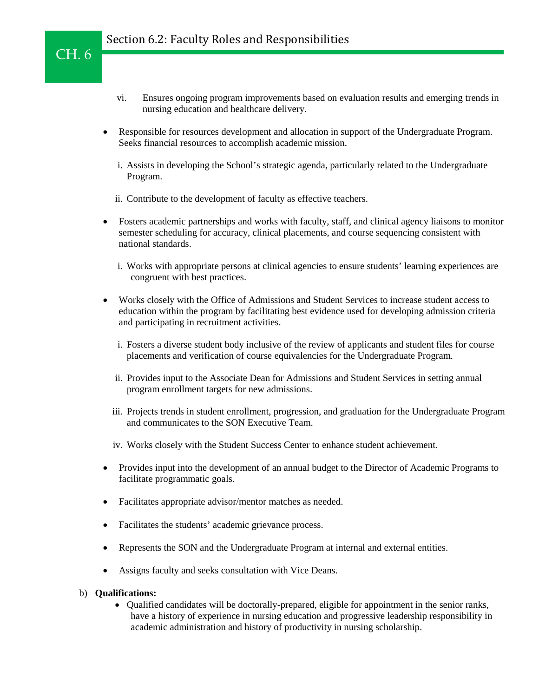- vi. Ensures ongoing program improvements based on evaluation results and emerging trends in nursing education and healthcare delivery.
- Responsible for resources development and allocation in support of the Undergraduate Program. Seeks financial resources to accomplish academic mission.
	- i. Assists in developing the School's strategic agenda, particularly related to the Undergraduate Program.
	- ii. Contribute to the development of faculty as effective teachers.
- Fosters academic partnerships and works with faculty, staff, and clinical agency liaisons to monitor semester scheduling for accuracy, clinical placements, and course sequencing consistent with national standards.
	- i. Works with appropriate persons at clinical agencies to ensure students' learning experiences are congruent with best practices.
- Works closely with the Office of Admissions and Student Services to increase student access to education within the program by facilitating best evidence used for developing admission criteria and participating in recruitment activities.
	- i. Fosters a diverse student body inclusive of the review of applicants and student files for course placements and verification of course equivalencies for the Undergraduate Program.
	- ii. Provides input to the Associate Dean for Admissions and Student Services in setting annual program enrollment targets for new admissions.
	- iii. Projects trends in student enrollment, progression, and graduation for the Undergraduate Program and communicates to the SON Executive Team.
	- iv. Works closely with the Student Success Center to enhance student achievement.
- Provides input into the development of an annual budget to the Director of Academic Programs to facilitate programmatic goals.
- Facilitates appropriate advisor/mentor matches as needed.
- Facilitates the students' academic grievance process.
- Represents the SON and the Undergraduate Program at internal and external entities.
- Assigns faculty and seeks consultation with Vice Deans.

### b) **Qualifications:**

CH. 6

• Qualified candidates will be doctorally-prepared, eligible for appointment in the senior ranks, have a history of experience in nursing education and progressive leadership responsibility in academic administration and history of productivity in nursing scholarship.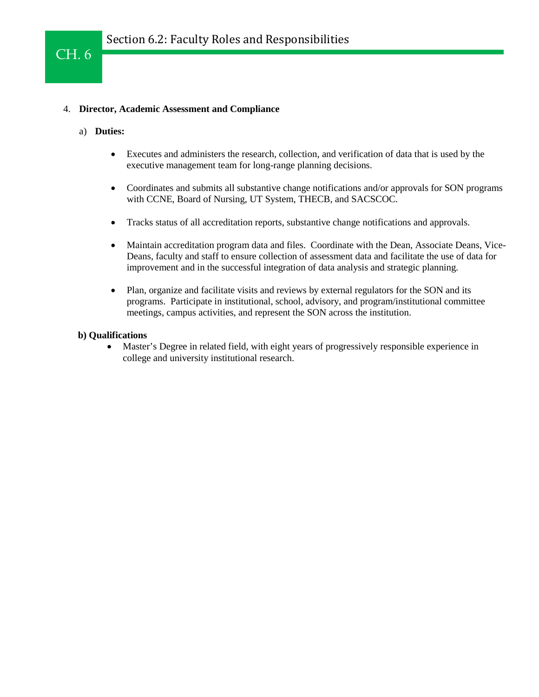# 4. **Director, Academic Assessment and Compliance**

a) **Duties:**

CH. 6

- Executes and administers the research, collection, and verification of data that is used by the executive management team for long-range planning decisions.
- Coordinates and submits all substantive change notifications and/or approvals for SON programs with CCNE, Board of Nursing, UT System, THECB, and SACSCOC.
- Tracks status of all accreditation reports, substantive change notifications and approvals.
- Maintain accreditation program data and files. Coordinate with the Dean, Associate Deans, Vice-Deans, faculty and staff to ensure collection of assessment data and facilitate the use of data for improvement and in the successful integration of data analysis and strategic planning.
- Plan, organize and facilitate visits and reviews by external regulators for the SON and its programs. Participate in institutional, school, advisory, and program/institutional committee meetings, campus activities, and represent the SON across the institution.

### **b) Qualifications**

• Master's Degree in related field, with eight years of progressively responsible experience in college and university institutional research.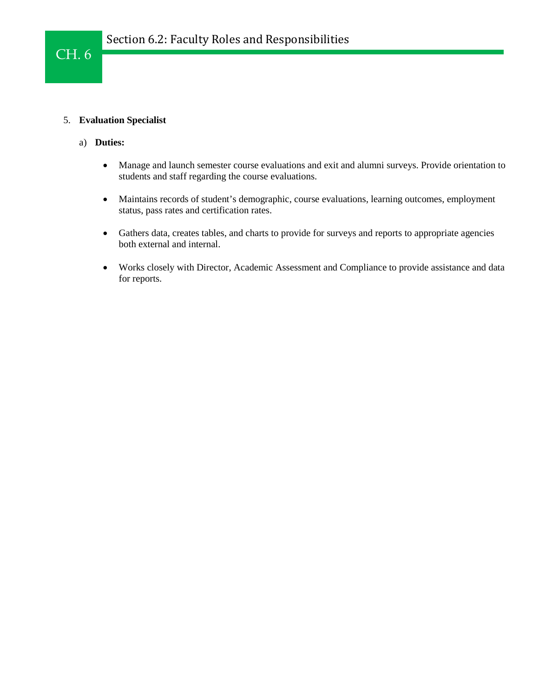# 5. **Evaluation Specialist**

- a) **Duties:**
	- Manage and launch semester course evaluations and exit and alumni surveys. Provide orientation to students and staff regarding the course evaluations.
	- Maintains records of student's demographic, course evaluations, learning outcomes, employment status, pass rates and certification rates.
	- Gathers data, creates tables, and charts to provide for surveys and reports to appropriate agencies both external and internal.
	- Works closely with Director, Academic Assessment and Compliance to provide assistance and data for reports.

# CH. 6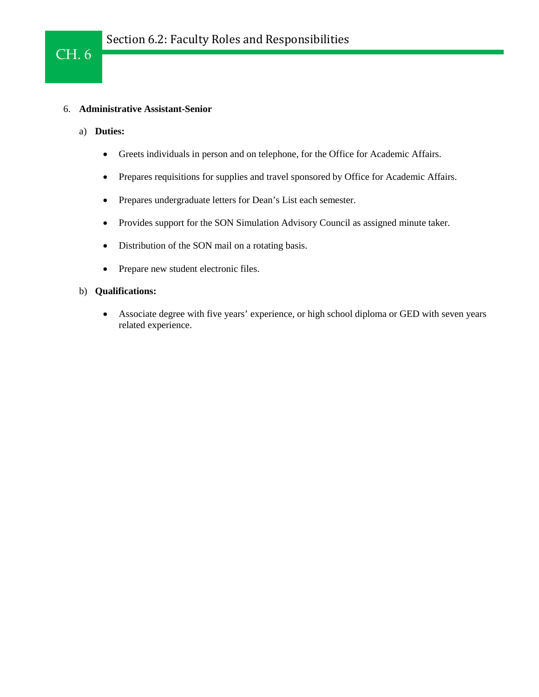# 6. **Administrative Assistant-Senior**

a) **Duties:**

CH. 6

- Greets individuals in person and on telephone, for the Office for Academic Affairs.
- Prepares requisitions for supplies and travel sponsored by Office for Academic Affairs.
- Prepares undergraduate letters for Dean's List each semester.
- Provides support for the SON Simulation Advisory Council as assigned minute taker.
- Distribution of the SON mail on a rotating basis.
- Prepare new student electronic files.

# b) **Qualifications:**

• Associate degree with five years' experience, or high school diploma or GED with seven years related experience.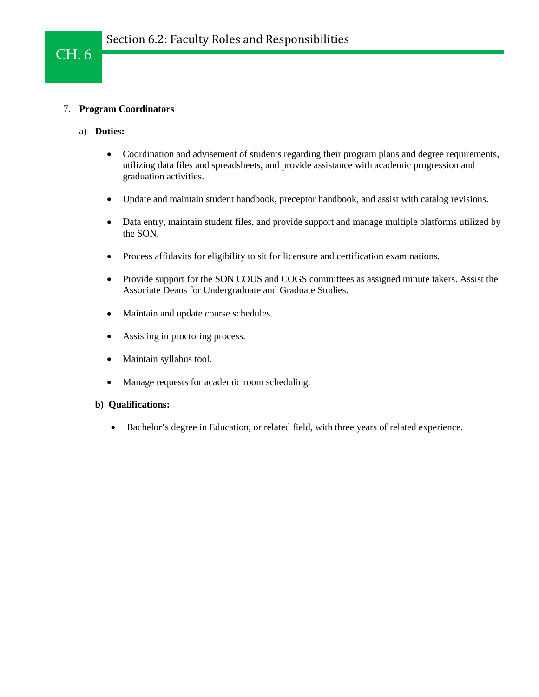# 7. **Program Coordinators**

- a) **Duties:**
	- Coordination and advisement of students regarding their program plans and degree requirements, utilizing data files and spreadsheets, and provide assistance with academic progression and graduation activities.
	- Update and maintain student handbook, preceptor handbook, and assist with catalog revisions.
	- Data entry, maintain student files, and provide support and manage multiple platforms utilized by the SON.
	- Process affidavits for eligibility to sit for licensure and certification examinations.
	- Provide support for the SON COUS and COGS committees as assigned minute takers. Assist the Associate Deans for Undergraduate and Graduate Studies.
	- Maintain and update course schedules.
	- Assisting in proctoring process.
	- Maintain syllabus tool.
	- Manage requests for academic room scheduling.

### **b) Qualifications:**

• Bachelor's degree in Education, or related field, with three years of related experience.

# CH. 6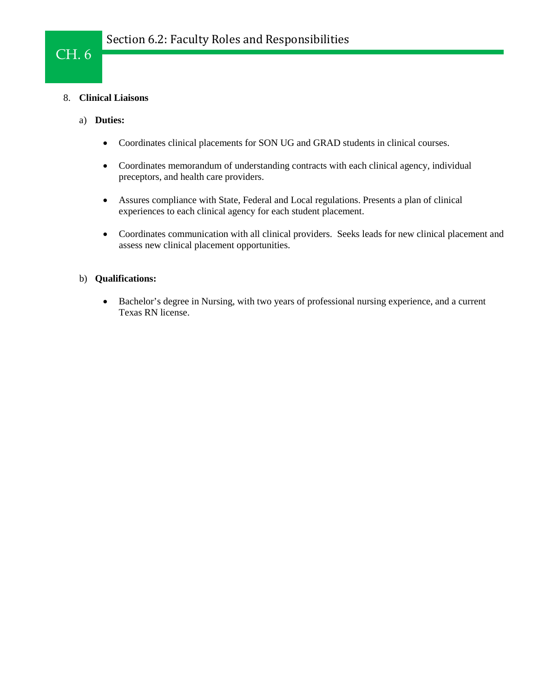## 8. **Clinical Liaisons**

### a) **Duties:**

CH. 6

- Coordinates clinical placements for SON UG and GRAD students in clinical courses.
- Coordinates memorandum of understanding contracts with each clinical agency, individual preceptors, and health care providers.
- Assures compliance with State, Federal and Local regulations. Presents a plan of clinical experiences to each clinical agency for each student placement.
- Coordinates communication with all clinical providers. Seeks leads for new clinical placement and assess new clinical placement opportunities.

### b) **Qualifications:**

• Bachelor's degree in Nursing, with two years of professional nursing experience, and a current Texas RN license.